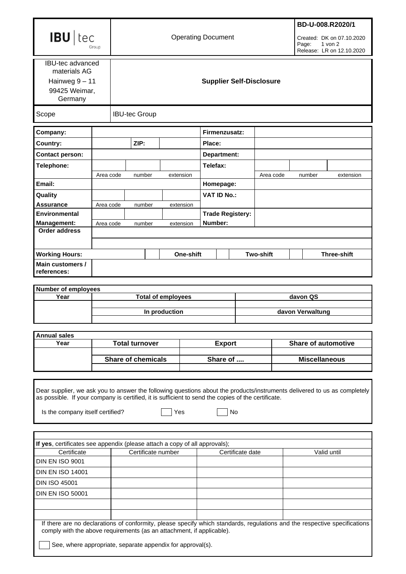| <b>IBU</b> tec                                                                                                                                                                                                                                                                  |                           | <b>Operating Document</b>       |                      |  |           |                         |  |                      | BD-U-008.R2020/1<br>Created: DK on 07.10.2020<br>Page:<br>$1$ von $2$<br>Release: LR on 12.10.2020 |                  |                    |  |
|---------------------------------------------------------------------------------------------------------------------------------------------------------------------------------------------------------------------------------------------------------------------------------|---------------------------|---------------------------------|----------------------|--|-----------|-------------------------|--|----------------------|----------------------------------------------------------------------------------------------------|------------------|--------------------|--|
| <b>IBU-tec advanced</b><br>materials AG<br>Hainweg 9 - 11<br>99425 Weimar,<br>Germany                                                                                                                                                                                           |                           | <b>Supplier Self-Disclosure</b> |                      |  |           |                         |  |                      |                                                                                                    |                  |                    |  |
| Scope                                                                                                                                                                                                                                                                           |                           |                                 | <b>IBU-tec Group</b> |  |           |                         |  |                      |                                                                                                    |                  |                    |  |
| Company:                                                                                                                                                                                                                                                                        |                           |                                 |                      |  |           | Firmenzusatz:           |  |                      |                                                                                                    |                  |                    |  |
| Country:                                                                                                                                                                                                                                                                        |                           |                                 | ZIP:                 |  |           | Place:                  |  |                      |                                                                                                    |                  |                    |  |
| <b>Contact person:</b>                                                                                                                                                                                                                                                          |                           |                                 |                      |  |           | Department:             |  |                      |                                                                                                    |                  |                    |  |
| Telephone:                                                                                                                                                                                                                                                                      |                           |                                 |                      |  |           | Telefax:                |  |                      |                                                                                                    |                  |                    |  |
|                                                                                                                                                                                                                                                                                 | Area code                 |                                 | number               |  | extension |                         |  | Area code            |                                                                                                    | number           | extension          |  |
| Email:                                                                                                                                                                                                                                                                          |                           |                                 |                      |  |           | Homepage:               |  |                      |                                                                                                    |                  |                    |  |
| Quality                                                                                                                                                                                                                                                                         |                           |                                 |                      |  |           | <b>VAT ID No.:</b>      |  |                      |                                                                                                    |                  |                    |  |
| <b>Assurance</b>                                                                                                                                                                                                                                                                | Area code                 |                                 | number               |  | extension |                         |  |                      |                                                                                                    |                  |                    |  |
| <b>Environmental</b>                                                                                                                                                                                                                                                            |                           |                                 |                      |  |           | <b>Trade Registery:</b> |  |                      |                                                                                                    |                  |                    |  |
| <b>Management:</b><br><b>Order address</b>                                                                                                                                                                                                                                      | Area code                 |                                 | number               |  | extension | Number:                 |  |                      |                                                                                                    |                  |                    |  |
|                                                                                                                                                                                                                                                                                 |                           |                                 |                      |  |           |                         |  |                      |                                                                                                    |                  |                    |  |
| <b>Working Hours:</b>                                                                                                                                                                                                                                                           |                           |                                 |                      |  | One-shift |                         |  | <b>Two-shift</b>     |                                                                                                    |                  | <b>Three-shift</b> |  |
| Main customers /<br>references:                                                                                                                                                                                                                                                 |                           |                                 |                      |  |           |                         |  |                      |                                                                                                    |                  |                    |  |
| <b>Number of employees</b>                                                                                                                                                                                                                                                      |                           |                                 |                      |  |           |                         |  |                      |                                                                                                    |                  |                    |  |
| Year                                                                                                                                                                                                                                                                            | <b>Total of employees</b> |                                 |                      |  |           |                         |  |                      |                                                                                                    | davon QS         |                    |  |
|                                                                                                                                                                                                                                                                                 |                           | In production                   |                      |  |           |                         |  |                      |                                                                                                    | davon Verwaltung |                    |  |
| <b>Annual sales</b>                                                                                                                                                                                                                                                             |                           |                                 |                      |  |           |                         |  |                      |                                                                                                    |                  |                    |  |
| Year                                                                                                                                                                                                                                                                            |                           | <b>Total turnover</b>           |                      |  |           | <b>Export</b>           |  |                      | <b>Share of automotive</b>                                                                         |                  |                    |  |
|                                                                                                                                                                                                                                                                                 |                           | <b>Share of chemicals</b>       |                      |  | Share of  |                         |  | <b>Miscellaneous</b> |                                                                                                    |                  |                    |  |
| Dear supplier, we ask you to answer the following questions about the products/instruments delivered to us as completely<br>as possible. If your company is certified, it is sufficient to send the copies of the certificate.<br>Is the company itself certified?<br>Yes<br>No |                           |                                 |                      |  |           |                         |  |                      |                                                                                                    |                  |                    |  |
| If yes, certificates see appendix (please attach a copy of all approvals);                                                                                                                                                                                                      |                           |                                 |                      |  |           |                         |  |                      |                                                                                                    |                  |                    |  |
| Certificate                                                                                                                                                                                                                                                                     |                           | Certificate number              |                      |  |           | Certificate date        |  |                      | Valid until                                                                                        |                  |                    |  |
| <b>DIN EN ISO 9001</b>                                                                                                                                                                                                                                                          |                           |                                 |                      |  |           |                         |  |                      |                                                                                                    |                  |                    |  |
| <b>DIN EN ISO 14001</b>                                                                                                                                                                                                                                                         |                           |                                 |                      |  |           |                         |  |                      |                                                                                                    |                  |                    |  |
| <b>DIN ISO 45001</b>                                                                                                                                                                                                                                                            |                           |                                 |                      |  |           |                         |  |                      |                                                                                                    |                  |                    |  |
| <b>DIN EN ISO 50001</b>                                                                                                                                                                                                                                                         |                           |                                 |                      |  |           |                         |  |                      |                                                                                                    |                  |                    |  |
|                                                                                                                                                                                                                                                                                 |                           |                                 |                      |  |           |                         |  |                      |                                                                                                    |                  |                    |  |
| If there are no declarations of conformity, please specify which standards, regulations and the respective specifications<br>comply with the above requirements (as an attachment, if applicable).<br>See, where appropriate, separate appendix for approval(s).                |                           |                                 |                      |  |           |                         |  |                      |                                                                                                    |                  |                    |  |